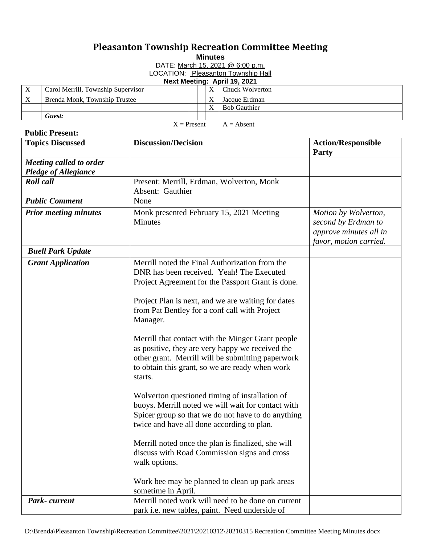## **Pleasanton Township Recreation Committee Meeting**

**Minutes**

DATE: March 15, 2021 @ 6:00 p.m.

LOCATION: Pleasanton Township Hall

**Next Meeting: April 19, 2021**

|                           | Carol Merrill, Township Supervisor |  | Chuck Wolverton     |
|---------------------------|------------------------------------|--|---------------------|
| $\boldsymbol{\mathrm{X}}$ | Brenda Monk, Township Trustee      |  | Jacque Erdman       |
|                           |                                    |  | <b>Bob Gauthier</b> |
|                           | Guest:                             |  |                     |
| $X =$ Present             |                                    |  | $A = Absent$        |

## **Public Present:**

| <b>Topics Discussed</b>                                | <b>Discussion/Decision</b>                                                                                                                                                                                                                                                                                                                                                                                                                                                                                                                                                                                                                                                                                                                                                                                                                                                                                 | <b>Action/Responsible</b><br>Party                                                              |
|--------------------------------------------------------|------------------------------------------------------------------------------------------------------------------------------------------------------------------------------------------------------------------------------------------------------------------------------------------------------------------------------------------------------------------------------------------------------------------------------------------------------------------------------------------------------------------------------------------------------------------------------------------------------------------------------------------------------------------------------------------------------------------------------------------------------------------------------------------------------------------------------------------------------------------------------------------------------------|-------------------------------------------------------------------------------------------------|
| Meeting called to order<br><b>Pledge of Allegiance</b> |                                                                                                                                                                                                                                                                                                                                                                                                                                                                                                                                                                                                                                                                                                                                                                                                                                                                                                            |                                                                                                 |
| <b>Roll</b> call                                       | Present: Merrill, Erdman, Wolverton, Monk<br>Absent: Gauthier                                                                                                                                                                                                                                                                                                                                                                                                                                                                                                                                                                                                                                                                                                                                                                                                                                              |                                                                                                 |
| <b>Public Comment</b>                                  | None                                                                                                                                                                                                                                                                                                                                                                                                                                                                                                                                                                                                                                                                                                                                                                                                                                                                                                       |                                                                                                 |
| <b>Prior meeting minutes</b>                           | Monk presented February 15, 2021 Meeting<br><b>Minutes</b>                                                                                                                                                                                                                                                                                                                                                                                                                                                                                                                                                                                                                                                                                                                                                                                                                                                 | Motion by Wolverton,<br>second by Erdman to<br>approve minutes all in<br>favor, motion carried. |
| <b>Buell Park Update</b>                               |                                                                                                                                                                                                                                                                                                                                                                                                                                                                                                                                                                                                                                                                                                                                                                                                                                                                                                            |                                                                                                 |
| <b>Grant Application</b>                               | Merrill noted the Final Authorization from the<br>DNR has been received. Yeah! The Executed<br>Project Agreement for the Passport Grant is done.<br>Project Plan is next, and we are waiting for dates<br>from Pat Bentley for a conf call with Project<br>Manager.<br>Merrill that contact with the Minger Grant people<br>as positive, they are very happy we received the<br>other grant. Merrill will be submitting paperwork<br>to obtain this grant, so we are ready when work<br>starts.<br>Wolverton questioned timing of installation of<br>buoys. Merrill noted we will wait for contact with<br>Spicer group so that we do not have to do anything<br>twice and have all done according to plan.<br>Merrill noted once the plan is finalized, she will<br>discuss with Road Commission signs and cross<br>walk options.<br>Work bee may be planned to clean up park areas<br>sometime in April. |                                                                                                 |
| Park-current                                           | Merrill noted work will need to be done on current                                                                                                                                                                                                                                                                                                                                                                                                                                                                                                                                                                                                                                                                                                                                                                                                                                                         |                                                                                                 |
|                                                        | park i.e. new tables, paint. Need underside of                                                                                                                                                                                                                                                                                                                                                                                                                                                                                                                                                                                                                                                                                                                                                                                                                                                             |                                                                                                 |